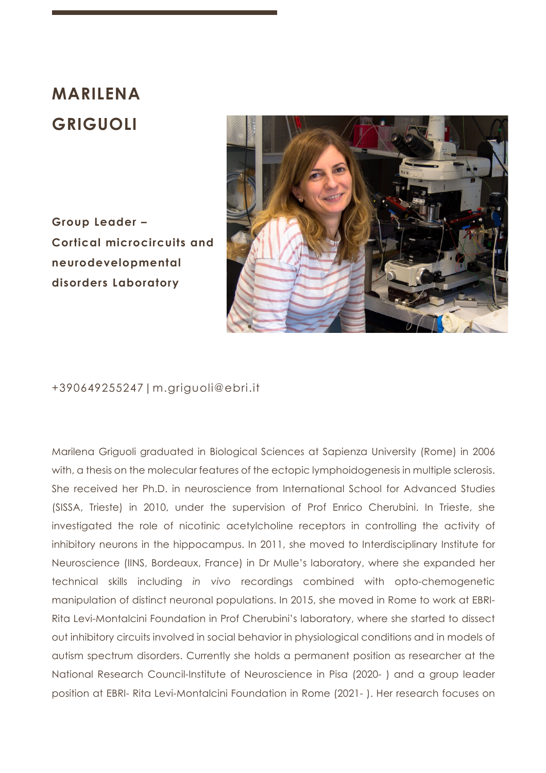## **MARILENA GRIGUOLI**

**Group Leader – Cortical microcircuits and neurodevelopmental disorders Laboratory**



## +390649255247|m.griguoli@ebri.it

Marilena Griguoli graduated in Biological Sciences at Sapienza University (Rome) in 2006 with, a thesis on the molecular features of the ectopic lymphoidogenesis in multiple sclerosis. She received her Ph.D. in neuroscience from International School for Advanced Studies (SISSA, Trieste) in 2010, under the supervision of Prof Enrico Cherubini. In Trieste, she investigated the role of nicotinic acetylcholine receptors in controlling the activity of inhibitory neurons in the hippocampus. In 2011, she moved to Interdisciplinary Institute for Neuroscience (IINS, Bordeaux, France) in Dr Mulle's laboratory, where she expanded her technical skills including *in vivo* recordings combined with opto-chemogenetic manipulation of distinct neuronal populations. In 2015, she moved in Rome to work at EBRI-Rita Levi-Montalcini Foundation in Prof Cherubini's laboratory, where she started to dissect out inhibitory circuits involved in social behavior in physiological conditions and in models of autism spectrum disorders. Currently she holds a permanent position as researcher at the National Research Council-Institute of Neuroscience in Pisa (2020- ) and a group leader position at EBRI- Rita Levi-Montalcini Foundation in Rome (2021- ). Her research focuses on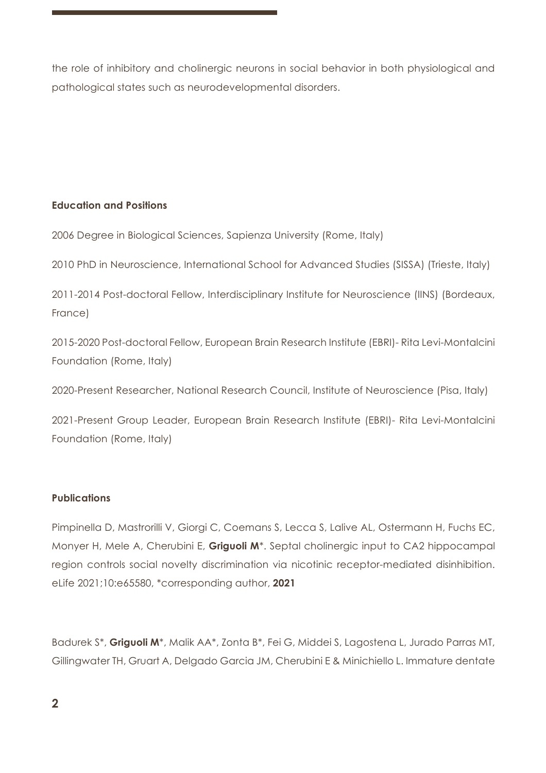the role of inhibitory and cholinergic neurons in social behavior in both physiological and pathological states such as neurodevelopmental disorders.

## **Education and Positions**

2006 Degree in Biological Sciences, Sapienza University (Rome, Italy)

2010 PhD in Neuroscience, International School for Advanced Studies (SISSA) (Trieste, Italy)

2011-2014 Post-doctoral Fellow, Interdisciplinary Institute for Neuroscience (IINS) (Bordeaux, France)

2015-2020 Post-doctoral Fellow, European Brain Research Institute (EBRI)- Rita Levi-Montalcini Foundation (Rome, Italy)

2020-Present Researcher, National Research Council, Institute of Neuroscience (Pisa, Italy)

2021-Present Group Leader, European Brain Research Institute (EBRI)- Rita Levi-Montalcini Foundation (Rome, Italy)

## **Publications**

Pimpinella D, Mastrorilli V, Giorgi C, Coemans S, Lecca S, Lalive AL, Ostermann H, Fuchs EC, Monyer H, Mele A, Cherubini E, **Griguoli M**\*. Septal cholinergic input to CA2 hippocampal region controls social novelty discrimination via nicotinic receptor-mediated disinhibition. eLife 2021;10:e65580, \*corresponding author, **2021**

Badurek S\*, **Griguoli M**\*, Malik AA\*, Zonta B\*, Fei G, Middei S, Lagostena L, Jurado Parras MT, Gillingwater TH, Gruart A, Delgado Garcia JM, Cherubini E & Minichiello L. Immature dentate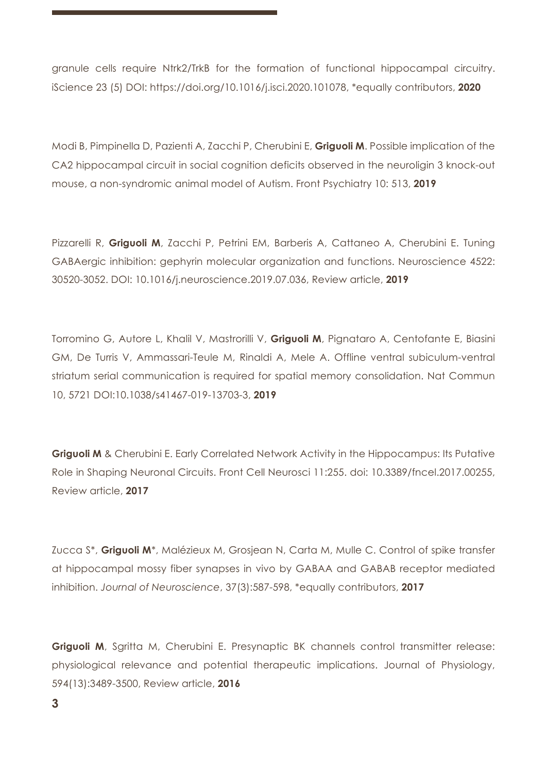granule cells require Ntrk2/TrkB for the formation of functional hippocampal circuitry. iScience 23 (5) DOI: https://doi.org/10.1016/j.isci.2020.101078, \*equally contributors, **2020**

Modi B, Pimpinella D, Pazienti A, Zacchi P, Cherubini E, **Griguoli M**. Possible implication of the CA2 hippocampal circuit in social cognition deficits observed in the neuroligin 3 knock-out mouse, a non-syndromic animal model of Autism. Front Psychiatry 10: 513, **2019** 

Pizzarelli R, **Griguoli M**, Zacchi P, Petrini EM, Barberis A, Cattaneo A, Cherubini E. Tuning GABAergic inhibition: gephyrin molecular organization and functions. Neuroscience 4522: 30520-3052. DOI: 10.1016/j.neuroscience.2019.07.036, Review article, **2019**

Torromino G, Autore L, Khalil V, Mastrorilli V, **Griguoli M**, Pignataro A, Centofante E, Biasini GM, De Turris V, Ammassari-Teule M, Rinaldi A, Mele A. Offline ventral subiculum-ventral striatum serial communication is required for spatial memory consolidation. Nat Commun 10, 5721 DOI:10.1038/s41467-019-13703-3, **2019**

**Griguoli M** & Cherubini E. Early Correlated Network Activity in the Hippocampus: Its Putative Role in Shaping Neuronal Circuits. Front Cell Neurosci 11:255. doi: 10.3389/fncel.2017.00255, Review article, **2017**

Zucca S\*, **Griguoli M**\*, Malézieux M, Grosjean N, Carta M, Mulle C. Control of spike transfer at hippocampal mossy fiber synapses in vivo by GABAA and GABAB receptor mediated inhibition. *Journal of Neuroscience*, 37(3):587-598, \*equally contributors, **2017**

Griguoli M, Sgritta M, Cherubini E. Presynaptic BK channels control transmitter release: physiological relevance and potential therapeutic implications. Journal of Physiology, 594(13):3489-3500, Review article, **2016**